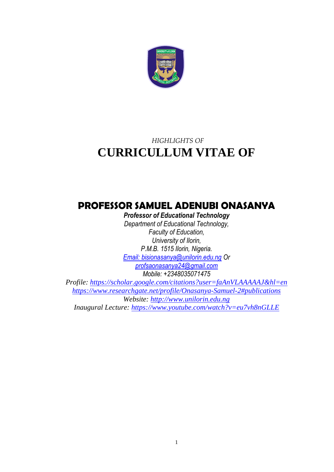

# *HIGHLIGHTS OF*  **CURRICULLUM VITAE OF**

# **PROFESSOR SAMUEL ADENUBI ONASANYA**

*Professor of Educational Technology Department of Educational Technology,*

*Faculty of Education, University of Ilorin, P.M.B. 1515 Ilorin, Nigeria. [Email: bisionasanya@unilorin.edu.ng](mailto:bisionasanya@unilorin.edu.ng) Or [profsaonasanya24@gmail.com](mailto:profsaonasanya24@gmail.com) Mobile: +2348035071475*

*Profile:<https://scholar.google.com/citations?user=faAnVLAAAAAJ&hl=en> <https://www.researchgate.net/profile/Onasanya-Samuel-2#publications> Website: [http://www.unilorin.edu.ng](http://www.unilorin.edu.ng/) Inaugural Lecture:<https://www.youtube.com/watch?v=eu7vh8nGLLE>*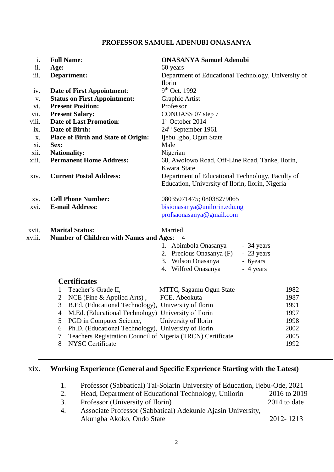#### **PROFESSOR SAMUEL ADENUBI ONASANYA**

| i.     | <b>Full Name:</b>                                                                           | <b>ONASANYA Samuel Adenubi</b>                      |  |
|--------|---------------------------------------------------------------------------------------------|-----------------------------------------------------|--|
| ii.    | Age:                                                                                        | 60 years                                            |  |
| iii.   | Department:                                                                                 | Department of Educational Technology, University of |  |
|        |                                                                                             | <b>Ilorin</b>                                       |  |
| iv.    | <b>Date of First Appointment:</b>                                                           | 9th Oct. 1992                                       |  |
| V.     | <b>Status on First Appointment:</b>                                                         | Graphic Artist                                      |  |
| vi.    | <b>Present Position:</b>                                                                    | Professor                                           |  |
| vii.   | <b>Present Salary:</b>                                                                      | CONUASS 07 step 7                                   |  |
| viii.  | <b>Date of Last Promotion:</b>                                                              | $1st$ October 2014                                  |  |
| ix.    | Date of Birth:                                                                              | 24 <sup>th</sup> September 1961                     |  |
| X.     | <b>Place of Birth and State of Origin:</b>                                                  | Ijebu Igbo, Ogun State                              |  |
| xi.    | Sex:                                                                                        | Male                                                |  |
| xii.   | <b>Nationality:</b>                                                                         | Nigerian                                            |  |
| xiii.  | <b>Permanent Home Address:</b>                                                              | 68, Awolowo Road, Off-Line Road, Tanke, Ilorin,     |  |
|        |                                                                                             | Kwara State                                         |  |
| xiv.   | <b>Current Postal Address:</b>                                                              | Department of Educational Technology, Faculty of    |  |
|        |                                                                                             | Education, University of Ilorin, Ilorin, Nigeria    |  |
| XV.    | <b>Cell Phone Number:</b>                                                                   | 08035071475; 08038279065                            |  |
| xvi.   | <b>E-mail Address:</b>                                                                      | bisionasanya@unilorin.edu.ng                        |  |
|        |                                                                                             | profsaonasanya@gmail.com                            |  |
|        |                                                                                             |                                                     |  |
| XVII.  | <b>Marital Status:</b>                                                                      | Married                                             |  |
| xviii. | Number of Children with Names and Ages: 4                                                   |                                                     |  |
|        |                                                                                             | 1. Abimbola Onasanya<br>- 34 years                  |  |
|        |                                                                                             | 2. Precious Onasanya (F)<br>- 23 years              |  |
|        |                                                                                             | 3. Wilson Onasanya<br>- 6years                      |  |
|        |                                                                                             | Wilfred Onasanya<br>- 4 years<br>4.                 |  |
|        | <b>Certificates</b>                                                                         |                                                     |  |
|        | Teacher's Grade II,<br>1                                                                    | MTTC, Sagamu Ogun State<br>1982                     |  |
|        | NCE (Fine $\&$ Applied Arts),<br>2                                                          | FCE, Abeokuta<br>1987                               |  |
|        | 3<br>B.Ed. (Educational Technology), University of Ilorin                                   | 1991                                                |  |
|        | M.Ed. (Educational Technology) University of Ilorin<br>$\overline{4}$                       | 1997                                                |  |
|        | PGD in Computer Science,<br>5                                                               | University of Ilorin<br>1998                        |  |
|        | Ph.D. (Educational Technology), University of Ilorin<br>6                                   | 2002                                                |  |
|        | 7                                                                                           | 2005                                                |  |
|        | Teachers Registration Council of Nigeria (TRCN) Certificate<br><b>NYSC Certificate</b><br>8 | 1992                                                |  |
|        |                                                                                             |                                                     |  |

## xix. **Working Experience (General and Specific Experience Starting with the Latest)**

- 1. Professor (Sabbatical) Tai-Solarin University of Education, Ijebu-Ode, 2021
- 2. Head, Department of Educational Technology, Unilorin 2016 to 2019
- 3. Professor (University of Ilorin) 2014 to date
- 4. Associate Professor (Sabbatical) Adekunle Ajasin University, Akungba Akoko, Ondo State 2012- 1213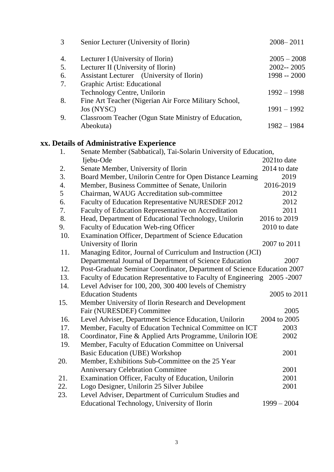| 3   | Senior Lecturer (University of Ilorin)                                   | $2008 - 2011$ |
|-----|--------------------------------------------------------------------------|---------------|
| 4.  | Lecturer I (University of Ilorin)                                        | $2005 - 2008$ |
| 5.  | Lecturer II (University of Ilorin)                                       | $2002 - 2005$ |
| 6.  | Assistant Lecturer (University of Ilorin)                                | 1998 -- 2000  |
| 7.  | Graphic Artist: Educational                                              |               |
|     | Technology Centre, Unilorin                                              | $1992 - 1998$ |
| 8.  | Fine Art Teacher (Nigerian Air Force Military School,                    |               |
|     | Jos (NYSC)                                                               | $1991 - 1992$ |
| 9.  | Classroom Teacher (Ogun State Ministry of Education,                     |               |
|     | Abeokuta)                                                                | $1982 - 1984$ |
|     | xx. Details of Administrative Experience                                 |               |
| 1.  | Senate Member (Sabbatical), Tai-Solarin University of Education,         |               |
|     | Ijebu-Ode                                                                | 2021to date   |
| 2.  | Senate Member, University of Ilorin                                      | 2014 to date  |
| 3.  | Board Member, Unilorin Centre for Open Distance Learning                 | 2019          |
| 4.  | Member, Business Committee of Senate, Unilorin                           | 2016-2019     |
| 5   | Chairman, WAUG Accreditation sub-committee                               | 2012          |
| 6.  | Faculty of Education Representative NURESDEF 2012                        | 2012          |
| 7.  | Faculty of Education Representative on Accreditation                     | 2011          |
| 8.  | Head, Department of Educational Technology, Unilorin                     | 2016 to 2019  |
| 9.  | Faculty of Education Web-ring Officer                                    | 2010 to date  |
| 10. | Examination Officer, Department of Science Education                     |               |
|     | University of Ilorin                                                     | 2007 to 2011  |
| 11. | Managing Editor, Journal of Curriculum and Instruction (JCI)             |               |
|     | Departmental Journal of Department of Science Education                  | 2007          |
| 12. | Post-Graduate Seminar Coordinator, Department of Science Education 2007  |               |
| 13. | Faculty of Education Representative to Faculty of Engineering 2005 -2007 |               |
| 14. | Level Adviser for 100, 200, 300 400 levels of Chemistry                  |               |
|     | <b>Education Students</b>                                                | 2005 to 2011  |
| 15. | Member University of Ilorin Research and Development                     |               |
|     | Fair (NURESDEF) Committee                                                | 2005          |
| 16. | Level Adviser, Department Science Education, Unilorin                    | 2004 to 2005  |
| 17. | Member, Faculty of Education Technical Committee on ICT                  | 2003          |
| 18. | Coordinator, Fine & Applied Arts Programme, Unilorin IOE                 | 2002          |
| 19. | Member, Faculty of Education Committee on Universal                      |               |
|     | <b>Basic Education (UBE) Workshop</b>                                    | 2001          |
| 20. | Member, Exhibitions Sub-Committee on the 25 Year                         |               |
|     | <b>Anniversary Celebration Committee</b>                                 | 2001          |
| 21. | Examination Officer, Faculty of Education, Unilorin                      | 2001          |
| 22. | Logo Designer, Unilorin 25 Silver Jubilee                                | 2001          |
| 23. | Level Adviser, Department of Curriculum Studies and                      |               |
|     | Educational Technology, University of Ilorin                             | $1999 - 2004$ |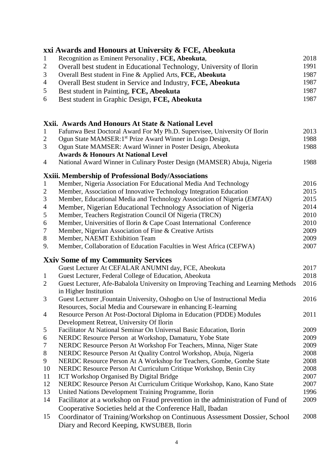|                  | xxi Awards and Honours at University & FCE, Abeokuta                                                              |      |
|------------------|-------------------------------------------------------------------------------------------------------------------|------|
| $\mathbf{1}$     | Recognition as Eminent Personality, FCE, Abeokuta,                                                                | 2018 |
| $\overline{2}$   | Overall best student in Educational Technology, University of Ilorin                                              | 1991 |
| 3                | Overall Best student in Fine & Applied Arts, FCE, Abeokuta                                                        | 1987 |
| $\overline{4}$   | Overall Best student in Service and Industry, FCE, Abeokuta                                                       | 1987 |
| 5                | Best student in Painting, FCE, Abeokuta                                                                           | 1987 |
| 6                | Best student in Graphic Design, FCE, Abeokuta                                                                     | 1987 |
|                  |                                                                                                                   |      |
|                  | Xxii. Awards And Honours At State & National Level                                                                |      |
| $\mathbf{1}$     | Fafunwa Best Doctoral Award For My Ph.D. Supervisee, University Of Ilorin                                         | 2013 |
| $\overline{2}$   | Ogun State MAMSER:1 <sup>st</sup> Prize Award Winner in Logo Design,                                              | 1988 |
| 3                | Ogun State MAMSER: Award Winner in Poster Design, Abeokuta                                                        | 1988 |
|                  | <b>Awards &amp; Honours At National Level</b>                                                                     |      |
| 4                | National Award Winner in Culinary Poster Design (MAMSER) Abuja, Nigeria                                           | 1988 |
|                  | Xxiii. Membership of Professional Body/Associations                                                               |      |
| $\mathbf{1}$     | Member, Nigeria Association For Educational Media And Technology                                                  | 2016 |
| $\overline{2}$   | Member, Association of Innovative Technology Integration Education                                                | 2015 |
| $\mathfrak{Z}$   | Member, Educational Media and Technology Association of Nigeria (EMTAN)                                           | 2015 |
| $\overline{4}$   | Member, Nigerian Educational Technology Association of Nigeria                                                    | 2014 |
| 5                | Member, Teachers Registration Council Of Nigeria (TRCN)                                                           | 2010 |
| $\boldsymbol{6}$ | Member, Universities of Ilorin & Cape Coast International Conference                                              | 2010 |
| $\tau$           | Member, Nigerian Association of Fine & Creative Artists                                                           | 2009 |
| 8                | Member, NAEMT Exhibition Team                                                                                     | 2009 |
| 9.               | Member, Collaboration of Education Faculties in West Africa (CEFWA)                                               | 2007 |
|                  | <b>Xxiv Some of my Community Services</b>                                                                         |      |
|                  | Guest Lecturer At CEFALAR ANUMNI day, FCE, Abeokuta                                                               | 2017 |
| $\mathbf{1}$     | Guest Lecturer, Federal College of Education, Abeokuta                                                            | 2018 |
| $\overline{2}$   | Guest Lecturer, Afe-Babalola University on Improving Teaching and Learning Methods                                | 2016 |
|                  | in Higher Institution                                                                                             |      |
| 3                | Guest Lecturer ,Fountain University, Oshogbo on Use of Instructional Media                                        | 2016 |
|                  | Resources, Social Media and Courseware in enhancing E-learning                                                    |      |
| 4                | Resource Person At Post-Doctoral Diploma in Education (PDDE) Modules<br>Development Retreat, University Of Ilorin | 2011 |
| 5                | Facilitator At National Seminar On Universal Basic Education, Ilorin                                              | 2009 |
| 6                | NERDC Resource Person at Workshop, Damaturu, Yobe State                                                           | 2009 |
| 7                | NERDC Resource Person At Workshop For Teachers, Minna, Niger State                                                | 2009 |
| $8\,$            | NERDC Resource Person At Quality Control Workshop, Abuja, Nigeria                                                 | 2008 |
| 9                | NERDC Resource Person At A Workshop for Teachers, Gombe, Gombe State                                              | 2008 |
| 10               | NERDC Resource Person At Curriculum Critique Workshop, Benin City                                                 | 2008 |
| 11               | <b>ICT Workshop Organised By Digital Bridge</b>                                                                   | 2007 |
| 12               | NERDC Resource Person At Curriculum Critique Workshop, Kano, Kano State                                           | 2007 |
| 13               | United Nations Development Training Programme, Ilorin                                                             | 1996 |
| 14               | Facilitator at a workshop on Fraud prevention in the administration of Fund of                                    | 2009 |
|                  | Cooperative Societies held at the Conference Hall, Ibadan                                                         |      |
| 15               | Coordinator of Training/Workshop on Continuous Assessment Dossier, School                                         | 2008 |
|                  | Diary and Record Keeping, KWSUBEB, Ilorin                                                                         |      |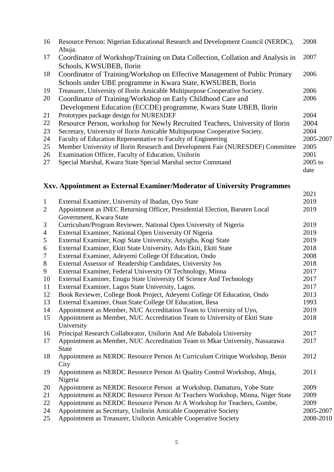| 16 | Resource Person: Nigerian Educational Research and Development Council (NERDC),<br>Abuja. | 2008      |
|----|-------------------------------------------------------------------------------------------|-----------|
| 17 | Coordinator of Workshop/Training on Data Collection, Collation and Analysis in            | 2007      |
|    | Schools, KWSUBEB, Ilorin                                                                  |           |
| 18 | Coordinator of Training/Workshop on Effective Management of Public Primary                | 2006      |
|    | Schools under UBE programme in Kwara State, KWSUBEB, Ilorin                               |           |
| 19 | Treasurer, University of Ilorin Amicable Multipurpose Cooperative Society.                | 2006      |
| 20 | Coordinator of Training/Workshop on Early Childhood Care and                              | 2006      |
|    | Development Education (ECCDE) programme, Kwara State UBEB, Ilorin                         |           |
| 21 | Prototypes package design for NURESDEF                                                    | 2004      |
| 22 | Resource Person, workshop for Newly Recruited Teachers, University of Ilorin              | 2004      |
| 23 | Secretary, University of Ilorin Amicable Multipurpose Cooperative Society.                | 2004      |
| 24 | Faculty of Education Representative to Faculty of Engineering                             | 2005-2007 |
| 25 | Member University of Ilorin Research and Development Fair (NURESDEF) Committee            | 2005      |
| 26 | Examination Officer, Faculty of Education, Unilorin                                       | 2001      |
| 27 | Special Marshal, Kwara State Special Marshal sector Command                               | $2005$ to |
|    |                                                                                           | date      |

# **Xxv. Appointment as External Examiner/Moderator of University Programmes**

|                |                                                                                                        | 2021      |
|----------------|--------------------------------------------------------------------------------------------------------|-----------|
| $\mathbf{1}$   | External Examiner, University of Ibadan, Oyo State                                                     | 2019      |
| $\overline{2}$ | Appointment as INEC Returning Officer, Presidential Election, Baruten Local<br>Government, Kwara State | 2019      |
| 3              | Curriculum/Program Reviewer, National Open University of Nigeria                                       | 2019      |
| $\overline{4}$ | External Examiner, National Open University Of Nigeria                                                 | 2019      |
| 5              | External Examiner, Kogi State University, Anyigba, Kogi State                                          | 2019      |
| 6              | External Examiner, Ekiti State University, Ado Ekiti, Ekiti State                                      | 2018      |
| 7              | External Examiner, Adeyemi College Of Education, Ondo                                                  | 2008      |
| $8\,$          | External Assessor of Readership Candidates, University Jos                                             | 2018      |
| 9              | External Examiner, Federal University Of Technology, Minna                                             | 2017      |
| 10             | External Examiner, Enugu State University Of Science And Technology                                    | 2017      |
| 11             | External Examiner, Lagos State University, Lagos.                                                      | 2017      |
| 12             | Book Reviewer, College Book Project, Adeyemi College Of Education, Ondo                                | 2013      |
| 13             | External Examiner, Osun State College Of Education, Ilesa                                              | 1993      |
| 14             | Appointment as Member, NUC Accreditation Team to University of Uyo,                                    | 2019      |
| 15             | Appointment as Member, NUC Accreditation Team to University of Ekiti State<br>University               | 2018      |
| 16             | Principal Research Collaborator, Unilorin And Afe Babalola University                                  | 2017      |
| 17             | Appointment as Member, NUC Accreditation Team to Mkar University, Nassarawa<br><b>State</b>            | 2017      |
| 18             | Appointment as NERDC Resource Person At Curriculum Critique Workshop, Benin<br>City                    | 2012      |
| 19             | Appointment as NERDC Resource Person At Quality Control Workshop, Abuja,<br>Nigeria                    | 2011      |
| 20             | Appointment as NERDC Resource Person at Workshop, Damaturu, Yobe State                                 | 2009      |
| 21             | Appointment as NERDC Resource Person At Teachers Workshop, Minna, Niger State                          | 2009      |
| 22             | Appointment as NERDC Resource Person At A Workshop for Teachers, Gombe,                                | 2009      |
| 24             | Appointment as Secretary, Unilorin Amicable Cooperative Society                                        | 2005-2007 |
| 25             | Appointment as Treasurer, Unilorin Amicable Cooperative Society                                        | 2008-2010 |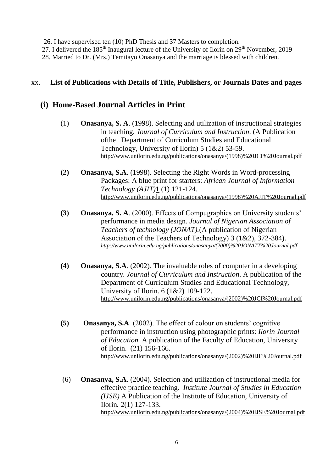26. I have supervised ten (10) PhD Thesis and 37 Masters to completion.

27. I delivered the 185<sup>th</sup> Inaugural lecture of the University of Ilorin on 29<sup>th</sup> November, 2019

28. Married to Dr. (Mrs.) Temitayo Onasanya and the marriage is blessed with children.

## xx. **List of Publications with Details of Title, Publishers, or Journals Dates and pages**

# **(i) Home-Based Journal Articles in Print**

- (1) **Onasanya, S. A**. (1998). Selecting and utilization of instructional strategies in teaching*. Journal of Curriculum and Instruction*. (A Publication ofthe Department of Curriculum Studies and Educational Technology, University of Ilorin) 5 (1&2) 53-59. [http://www.unilorin.edu.ng/publications/onasanya/\(1998\)%20JCI%20Journal.pdf](http://www.unilorin.edu.ng/publications/onasanya/(1998)%20JCI%20Journal.pdf)
- **(2) Onasanya, S.A**. (1998). Selecting the Right Words in Word-processing Packages: A blue print for starters: *African Journal of Information Technology (AJIT)*1 (1) 121-124. [http://www.unilorin.edu.ng/publications/onasanya/\(1998\)%20AJIT%20Journal.pdf](http://www.unilorin.edu.ng/publications/onasanya/(1998)%20AJIT%20Journal.pdf)
- **(3) Onasanya, S. A**. (2000). Effects of Compugraphics on University students' performance in media design*. Journal of Nigerian Association of Teachers of technology (JONAT).*(A publication of Nigerian Association of the Teachers of Technology) 3 (1&2), 372-384). *[http://www.unilorin.edu.ng/publications/onasanya/\(2000\)%20JONATT%20Journal.pdf](http://www.unilorin.edu.ng/publications/onasanya/(2000)%20JONATT%20Journal.pdf)*
- **(4) Onasanya, S.A**. (2002). The invaluable roles of computer in a developing country*. Journal of Curriculum and Instruction*. A publication of the Department of Curriculum Studies and Educational Technology, University of Ilorin. 6 (1&2) 109-122. [http://www.unilorin.edu.ng/publications/onasanya/\(2002\)%20JCI%20Journal.pdf](http://www.unilorin.edu.ng/publications/onasanya/(2002)%20JCI%20Journal.pdf)
- **(5) Onasanya, S.A**. (2002). The effect of colour on students' cognitive performance in instruction using photographic prints: *Ilorin Journal of Education.* A publication of the Faculty of Education, University of Ilorin. (21) 156-166. [http://www.unilorin.edu.ng/publications/onasanya/\(2002\)%20IJE%20Journal.pdf](http://www.unilorin.edu.ng/publications/onasanya/(2002)%20IJE%20Journal.pdf)
- (6) **Onasanya, S.A**. (2004). Selection and utilization of instructional media for effective practice teaching*. Institute Journal of Studies in Education (IJSE)* A Publication of the Institute of Education, University of Ilorin*.* 2(1) 127-133. [http://www.unilorin.edu.ng/publications/onasanya/\(2004\)%20IJSE%20Journal.pdf](http://www.unilorin.edu.ng/publications/onasanya/(2004)%20IJSE%20Journal.pdf)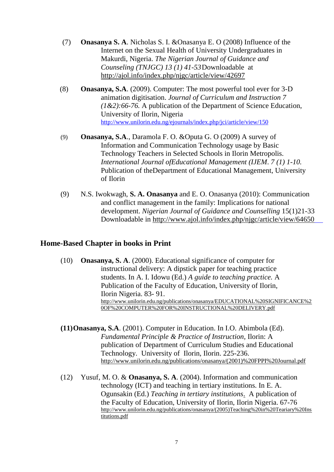- (7) **Onasanya S. A**. Nicholas S. I. &Onasanya E. O (2008) Influence of the Internet on the Sexual Health of University Undergraduates in Makurdi, Nigeria. *The Nigerian Journal of Guidance and Counseling (TNJGC) 13 (1) 41-53*Downloadable at <http://ajol.info/index.php/njgc/article/view/42697>
- (8) **Onasanya, S.A**. (2009). Computer: The most powerful tool ever for 3-D animation digitisation. *Journal of Curriculum and Instruction 7 (1&2):66-76.* A publication of the Department of Science Education, University of Ilorin, Nigeria <http://www.unilorin.edu.ng/ejournals/index.php/jci/article/view/150>
- (9) **Onasanya, S.A**., Daramola F. O. &Oputa G. O (2009) A survey of Information and Communication Technology usage by Basic Technology Teachers in Selected Schools in Ilorin Metropolis. *International Journal ofEducational Management (IJEM*. *7 (1) 1-10.* Publication of theDepartment of Educational Management, University of Ilorin
- (9) N.S. Iwokwagh, **S. A. Onasanya** and E. O. Onasanya (2010): Communication and conflict management in the family: Implications for national development. *Nigerian Journal of Guidance and Counselling* 15(1)21-33 Downloadable in<http://www.ajol.info/index.php/njgc/article/view/64650>

## **Home-Based Chapter in books in Print**

- (10) **Onasanya, S. A**. (2000). Educational significance of computer for instructional delivery: A dipstick paper for teaching practice students. In A. I. Idowu (Ed.) *A guide to teaching practice.* A Publication of the Faculty of Education, University of Ilorin, Ilorin Nigeria. 83- 91. [http://www.unilorin.edu.ng/publications/onasanya/EDUCATIONAL%20SIGNIFICANCE%2](http://www.unilorin.edu.ng/publications/onasanya/EDUCATIONAL%20SIGNIFICANCE%20OF%20COMPUTER%20FOR%20INSTRUCTIONAL%20DELIVERY.pdf) [0OF%20COMPUTER%20FOR%20INSTRUCTIONAL%20DELIVERY.pdf](http://www.unilorin.edu.ng/publications/onasanya/EDUCATIONAL%20SIGNIFICANCE%20OF%20COMPUTER%20FOR%20INSTRUCTIONAL%20DELIVERY.pdf)
- **(11)Onasanya, S.A**. (2001). Computer in Education. In I.O. Abimbola (Ed). *Fundamental Principle & Practice of Instruction,* Ilorin: A publication of Department of Curriculum Studies and Educational Technology. University of Ilorin, Ilorin. 225-236. [http://www.unilorin.edu.ng/publications/onasanya/\(2001\)%20FPPI%20Journal.pdf](http://www.unilorin.edu.ng/publications/onasanya/(2001)%20FPPI%20Journal.pdf)
- (12) Yusuf, M. O. & **Onasanya, S. A**. (2004). Information and communication technology (ICT) and teaching in tertiary institutions. In E. A. Ogunsakin (Ed.) *Teaching in tertiary institutions*. A publication of the Faculty of Education, University of Ilorin, Ilorin Nigeria. 67-76 [http://www.unilorin.edu.ng/publications/onasanya/\(2005\)Teaching%20in%20Teariary%20Ins](http://www.unilorin.edu.ng/publications/onasanya/(2005)Teaching%20in%20Teariary%20Institutions.pdf) [titutions.pdf](http://www.unilorin.edu.ng/publications/onasanya/(2005)Teaching%20in%20Teariary%20Institutions.pdf)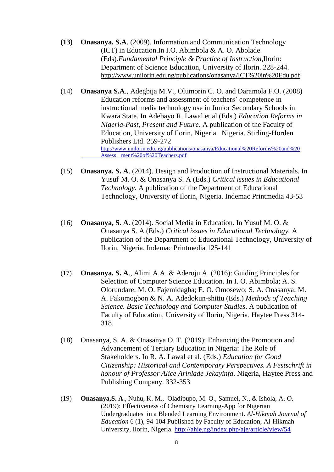- **(13) Onasanya, S.A**. (2009). Information and Communication Technology (ICT) in Education.In I.O. Abimbola & A. O. Abolade (Eds).*Fundamental Principle & Practice of Instruction,*Ilorin: Department of Science Education, University of Ilorin. 228-244. <http://www.unilorin.edu.ng/publications/onasanya/ICT%20in%20Edu.pdf>
- (14) **Onasanya S.A**., Adegbija M.V., Olumorin C. O. and Daramola F.O. (2008) Education reforms and assessment of teachers' competence in instructional media technology use in Junior Secondary Schools in Kwara State. In Adebayo R. Lawal et al (Eds.) *Education Reforms in Nigeria-Past, Present and Future*. A publication of the Faculty of Education, University of Ilorin, Nigeria. Nigeria. Stirling-Horden Publishers Ltd. 259-272 [http://www.unilorin.edu.ng/publications/onasanya/Educational%20Reforms%20and%20](http://www.unilorin.edu.ng/publications/onasanya/Educational%20Reforms%20and%20%09Assess%09ment%20of%20Teachers.pdf) Assess [ment%20of%20Teachers.pdf](http://www.unilorin.edu.ng/publications/onasanya/Educational%20Reforms%20and%20%09Assess%09ment%20of%20Teachers.pdf)
- (15) **Onasanya, S. A**. (2014). Design and Production of Instructional Materials. In Yusuf M. O. & Onasanya S. A (Eds.) *Critical issues in Educational Technology.* A publication of the Department of Educational Technology, University of Ilorin, Nigeria. Indemac Printmedia 43-53
- (16) **Onasanya, S. A**. (2014). Social Media in Education. In Yusuf M. O. & Onasanya S. A (Eds.) *Critical issues in Educational Technology.* A publication of the Department of Educational Technology, University of Ilorin, Nigeria. Indemac Printmedia 125-141
- (17) **Onasanya, S. A**., Alimi A.A. & Aderoju A. (2016): Guiding Principles for Selection of Computer Science Education. In I. O. Abimbola; A. S. Olorundare; M. O. Fajemidagba; E. O. Omosewo; S. A. Onasanya; M. A. Fakomogbon & N. A. Adedokun-shittu (Eds.) *Methods of Teaching Science. Basic Technology and Computer Studies*. A publication of Faculty of Education, University of Ilorin, Nigeria. Haytee Press 314- 318.
- (18) Onasanya, S. A. & Onasanya O. T. (2019): Enhancing the Promotion and Advancement of Tertiary Education in Nigeria: The Role of Stakeholders. In R. A. Lawal et al. (Eds.) *Education for Good Citizenship: Historical and Contemporary Perspectives. A Festschrift in honour of Professor Alice Arinlade Jekayinfa*. Nigeria, Haytee Press and Publishing Company. 332-353
- (19) **Onasanya,S. A**., Nuhu, K. M., Oladipupo, M. O., Samuel, N., & Ishola, A. O. (2019): Effectiveness of Chemistry Learning-App for Nigerian Undergraduates in a Blended Learning Environment. *Al-Hikmah Journal of Education* 6 (1), 94-104 Published by Faculty of Education, Al-Hikmah University, Ilorin, Nigeria.<http://ahje.ng/index.php/aje/article/view/54>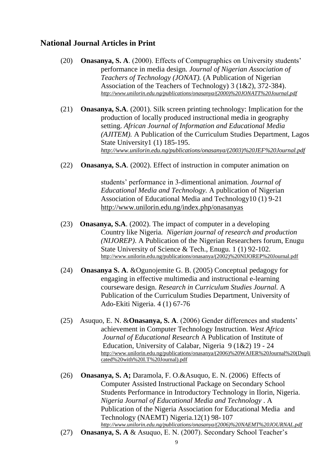# **National Journal Articles in Print**

- (20) **Onasanya, S. A**. (2000). Effects of Compugraphics on University students' performance in media design*. Journal of Nigerian Association of Teachers of Technology (JONAT).* (A Publication of Nigerian Association of the Teachers of Technology) 3 (1&2), 372-384). *[http://www.unilorin.edu.ng/publications/onasanya/\(2000\)%20JONATT%20Journal.pdf](http://www.unilorin.edu.ng/publications/onasanya/(2000)%20JONATT%20Journal.pdf)*
- (21) **Onasanya, S.A**. (2001). Silk screen printing technology: Implication for the production of locally produced instructional media in geography setting. *African Journal of Information and Educational Media (AJITEM).* A Publication of the Curriculum Studies Department, Lagos State University1 (1) 185-195. *[http://www.unilorin.edu.ng/publications/onasanya/\(2003\)%20JEF%20Journal.pdf](http://www.unilorin.edu.ng/publications/onasanya/(2003)%20JEF%20Journal.pdf)*
- (22) **Onasanya, S.A**. (2002). Effect of instruction in computer animation on

students' performance in 3-dimentional animation*. Journal of Educational Media and Technology.* A publication of Nigerian Association of Educational Media and Technology10 (1) 9-21 <http://www.unilorin.edu.ng/index.php/onasanyas>

- (23) **Onasanya, S.A**. (2002). The impact of computer in a developing Country like Nigeria*. Nigerian journal of research and production (NIJOREP)*. A Publication of the Nigerian Researchers forum, Enugu State University of Science & Tech., Enugu. 1 (1) 92-102. [http://www.unilorin.edu.ng/publications/onasanya/\(2002\)%20NIJOREP%20Journal.pdf](http://www.unilorin.edu.ng/publications/onasanya/(2002)%20NIJOREP%20Journal.pdf)
- (24) **Onasanya S. A**. &Ogunojemite G. B. (2005) Conceptual pedagogy for engaging in effective multimedia and instructional e-learning courseware design. *Research in Curriculum Studies Journal.* A Publication of the Curriculum Studies Department, University of Ado-Ekiti Nigeria. 4 (1) 67-76
- (25) Asuquo, E. N. &**Onasanya, S. A**. (2006) Gender differences and students' achievement in Computer Technology Instruction. *West Africa Journal of Educational Research* A Publication of Institute of Education, University of Calabar, Nigeria 9 (1&2) 19 - 24 [http://www.unilorin.edu.ng/publications/onasanya/\(2006\)%20WAJER%20Journal%20\(Dupli](http://www.unilorin.edu.ng/publications/onasanya/(2006)%20WAJER%20Journal%20(Duplicated%20with%20I.T%20Journal).pdf) [cated%20with%20I.T%20Journal\).pdf](http://www.unilorin.edu.ng/publications/onasanya/(2006)%20WAJER%20Journal%20(Duplicated%20with%20I.T%20Journal).pdf)
- (26) **Onasanya, S. A;** Daramola, F. O.&Asuquo, E. N. (2006) Effects of Computer Assisted Instructional Package on Secondary School Students Performance in Introductory Technology in Ilorin, Nigeria. *Nigeria Journal of Educational Media and Technology* . A Publication of the Nigeria Association for Educational Media and Technology (NAEMT) Nigeria.12(1) 98- 107 *[http://www.unilorin.edu.ng/publications/onasanya/\(2006\)%20NAEMT%20JOURNAL.pdf](http://www.unilorin.edu.ng/publications/onasanya/(2006)%20NAEMT%20JOURNAL.pdf)*
- (27) **Onasanya, S. A** & Asuquo, E. N. (2007). Secondary School Teacher's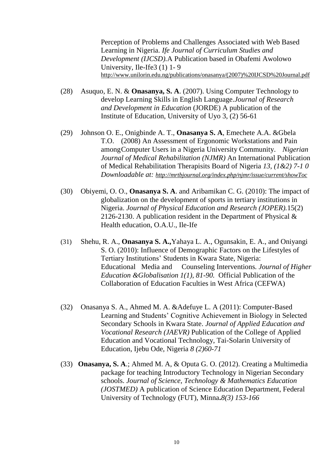Perception of Problems and Challenges Associated with Web Based Learning in Nigeria. *Ife Journal of Curriculum Studies and Development (IJCSD).*A Publication based in Obafemi Awolowo University, Ile-Ife3 (1) 1- 9 [http://www.unilorin.edu.ng/publications/onasanya/\(2007\)%20IJCSD%20Journal.pdf](http://www.unilorin.edu.ng/publications/onasanya/(2007)%20IJCSD%20Journal.pdf)

- (28) Asuquo, E. N. & **Onasanya, S. A**. (2007). Using Computer Technology to develop Learning Skills in English Language.*Journal of Research and Development in Education* (JORDE) A publication of the Institute of Education, University of Uyo 3, (2) 56-61
- (29) Johnson O. E., Onigbinde A. T., **Onasanya S. A**, Emechete A.A. &Gbela T.O. (2008) An Assessment of Ergonomic Workstations and Pain amongComputer Users in a Nigeria University Community. *Nigerian Journal of Medical Rehabilitation (NJMR)* An International Publication of Medical Rehabilitation Therapisits Board of Nigeria *13, (1&2) 7-1 0 Downloadable at: <http://mrtbjournal.org/index.php/njmr/issue/current/showToc>*
- (30) Obiyemi, O. O., **Onasanya S. A**. and Aribamikan C. G. (2010): The impact of globalization on the development of sports in tertiary institutions in Nigeria. *Journal of Physical Education and Research (JOPER).*15(2) 2126-2130. A publication resident in the Department of Physical & Health education, O.A.U., Ile-Ife
- (31) Shehu, R. A., **Onasanya S. A.,**Yahaya L. A., Ogunsakin, E. A., and Oniyangi S. O. (2010): Influence of Demographic Factors on the Lifestyles of Tertiary Institutions' Students in Kwara State, Nigeria: Educational Media and Counseling Interventions*. Journal of Higher Education &Globalisation 1(1), 81-90.* Official Publication of the Collaboration of Education Faculties in West Africa (CEFWA)
- (32) Onasanya S. A., Ahmed M. A. &Adefuye L. A (2011): Computer-Based Learning and Students' Cognitive Achievement in Biology in Selected Secondary Schools in Kwara State. *Journal of Applied Education and Vocational Research (JAEVR)* Publication of the College of Applied Education and Vocational Technology, Tai-Solarin University of Education, Ijebu Ode, Nigeria *8 (2)60-71*
- (33) **Onasanya, S. A**.; Ahmed M. A, & Oputa G. O. (2012). Creating a Multimedia package for teaching Introductory Technology in Nigerian Secondary schools. *Journal of Science, Technology & Mathematics Education (JOSTMED)* A publication of Science Education Department, Federal University of Technology (FUT), Minna**.***8(3) 153-166*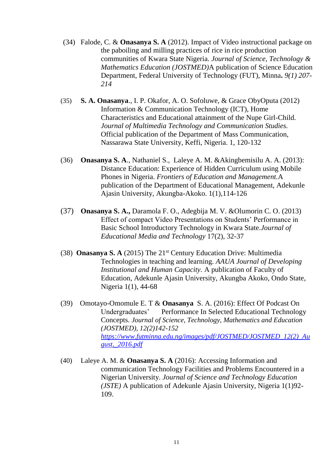- (34) Falode, C. & **Onasanya S. A** (2012). Impact of Video instructional package on the paboiling and milling practices of rice in rice production communities of Kwara State Nigeria. *Journal of Science, Technology & Mathematics Education (JOSTMED)*A publication of Science Education Department, Federal University of Technology (FUT), Minna**.** *9(1) 207- 214*
- (35) **S. A. Onasanya**., I. P. Okafor, A. O. Sofoluwe, & Grace ObyOputa (2012) Information & Communication Technology (ICT), Home Characteristics and Educational attainment of the Nupe Girl-Child. *Journal of Multimedia Technology and Communication Studies.*  Official publication of the Department of Mass Communication, Nassarawa State University, Keffi, Nigeria. 1, 120-132
- (36) **Onasanya S. A**., Nathaniel S., Laleye A. M. &Akingbemisilu A. A. (2013): Distance Education: Experience of Hidden Curriculum using Mobile Phones in Nigeria. *Frontiers of Education and Management.*A publication of the Department of Educational Management, Adekunle Ajasin University, Akungba-Akoko. 1(1),114-126
- (37) **Onasanya S. A.,** Daramola F. O., Adegbija M. V. &Olumorin C. O. (2013) Effect of compact Video Presentations on Students' Performance in Basic School Introductory Technology in Kwara State.*Journal of Educational Media and Technology* 17(2), 32-37
- (38) **Onasanya S. A** (2015) The 21st Century Education Drive: Multimedia Technologies in teaching and learning. *AAUA Journal of Developing Institutional and Human Capacity.* A publication of Faculty of Education, Adekunle Ajasin University, Akungba Akoko, Ondo State, Nigeria 1(1), 44-68
- (39) Omotayo-Omomule E. T & **Onasanya** S. A. (2016): Effect Of Podcast On Undergraduates' Performance In Selected Educational Technology Concepts. *Journal of Science, Technology, Mathematics and Education (JOSTMED), 12(2)142-152 [https://www.futminna.edu.ng/images/pdf/JOSTMED/JOSTMED\\_12\(2\)\\_Au](https://www.futminna.edu.ng/images/pdf/JOSTMED/JOSTMED_12(2)_August,_2016.pdf) [gust,\\_2016.pdf](https://www.futminna.edu.ng/images/pdf/JOSTMED/JOSTMED_12(2)_August,_2016.pdf)*
- (40) Laleye A. M. & **Onasanya S. A** (2016): Accessing Information and communication Technology Facilities and Problems Encountered in a Nigerian University. *Journal of Science and Technology Education (JSTE)* A publication of Adekunle Ajasin University, Nigeria 1(1)92- 109.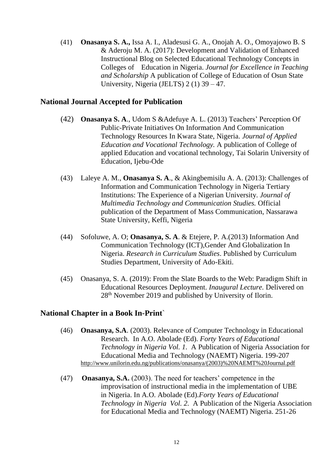(41) **Onasanya S. A.,** Issa A. I., Aladesusi G. A., Onojah A. O., Omoyajowo B. S & Aderoju M. A. (2017): Development and Validation of Enhanced Instructional Blog on Selected Educational Technology Concepts in Colleges of Education in Nigeria. *Journal for Excellence in Teaching and Scholarship* A publication of College of Education of Osun State University, Nigeria (JELTS) 2 (1) 39 – 47.

## **National Journal Accepted for Publication**

- (42) **Onasanya S. A**., Udom S &Adefuye A. L. (2013) Teachers' Perception Of Public-Private Initiatives On Information And Communication Technology Resources In Kwara State, Nigeria. *Journal of Applied Education and Vocational Technology.* A publication of College of applied Education and vocational technology, Tai Solarin University of Education, Ijebu-Ode
- (43) Laleye A. M., **Onasanya S. A**., & Akingbemisilu A. A. (2013): Challenges of Information and Communication Technology in Nigeria Tertiary Institutions: The Experience of a Nigerian University. *Journal of Multimedia Technology and Communication Studies.* Official publication of the Department of Mass Communication, Nassarawa State University, Keffi, Nigeria
- (44) Sofoluwe, A. O; **Onasanya, S. A**. & Etejere, P. A.(2013) Information And Communication Technology (ICT),Gender And Globalization In Nigeria. *Research in Curriculum Studies*. Published by Curriculum Studies Department, University of Ado-Ekiti.
- (45) Onasanya, S. A. (2019): From the Slate Boards to the Web: Paradigm Shift in Educational Resources Deployment. *Inaugural Lecture.* Delivered on 28th November 2019 and published by University of Ilorin.

### **National Chapter in a Book In-Print**`

- (46) **Onasanya, S.A**. (2003). Relevance of Computer Technology in Educational Research. In A.O. Abolade (Ed). *Forty Years of Educational Technology in Nigeria Vol. 1.* A Publication of Nigeria Association for Educational Media and Technology (NAEMT) Nigeria. 199-207 [http://www.unilorin.edu.ng/publications/onasanya/\(2003\)%20NAEMT%20Journal.pdf](http://www.unilorin.edu.ng/publications/onasanya/(2003)%20NAEMT%20Journal.pdf)
- (47) **Onasanya, S.A.** (2003). The need for teachers' competence in the improvisation of instructional media in the implementation of UBE in Nigeria. In A.O. Abolade (Ed).*Forty Years of Educational Technology in Nigeria Vol. 2.* A Publication of the Nigeria Association for Educational Media and Technology (NAEMT) Nigeria. 251-26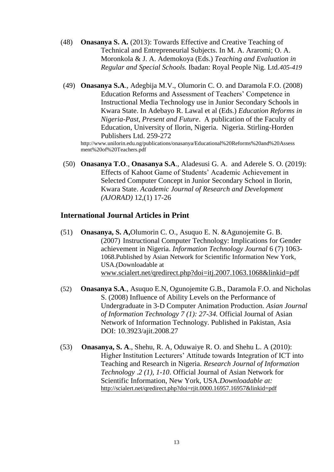- (48) **Onasanya S. A.** (2013): Towards Effective and Creative Teaching of Technical and Entrepreneurial Subjects. In M. A. Araromi; O. A. Moronkola & J. A. Ademokoya (Eds.) *Teaching and Evaluation in Regular and Special Schools.* Ibadan: Royal People Nig. Ltd.*405-419*
- (49) **Onasanya S.A**., Adegbija M.V., Olumorin C. O. and Daramola F.O. (2008) Education Reforms and Assessment of Teachers' Competence in Instructional Media Technology use in Junior Secondary Schools in Kwara State. In Adebayo R. Lawal et al (Eds.) *Education Reforms in Nigeria-Past, Present and Future*. A publication of the Faculty of Education, University of Ilorin, Nigeria. Nigeria. Stirling-Horden Publishers Ltd. 259-272

[http://www.unilorin.edu.ng/publications/onasanya/Educational%20Reforms%20and%20Assess](http://www.unilorin.edu.ng/publications/onasanya/Educational%20Reforms%20and%20Assess%09%09%09ment%20of%20Teachers.pdf) [ment%20of%20Teachers.pdf](http://www.unilorin.edu.ng/publications/onasanya/Educational%20Reforms%20and%20Assess%09%09%09ment%20of%20Teachers.pdf)

(50) **Onasanya T.O**., **Onasanya S.A**., Aladesusi G. A. and Aderele S. O. (2019): Effects of Kahoot Game of Students' Academic Achievement in Selected Computer Concept in Junior Secondary School in Ilorin, Kwara State. *Academic Journal of Research and Development (AJORAD)* 12,(1) 17-26

## **International Journal Articles in Print**

- (51) **Onasanya, S. A,**Olumorin C. O., Asuquo E. N. &Agunojemite G. B. (2007) Instructional Computer Technology: Implications for Gender achievement in Nigeria. *Information Technology Journal* 6 (7) 1063- 1068.Published by Asian Network for Scientific Information New York, USA.(Downloadable at [www.scialert.net/qredirect.php?doi=itj.2007.1063.1068&linkid=pdf](http://www.scialert.net/qredirect.php?doi=itj.2007.1063.1068&linkid=pdf)
- (52) **Onasanya S.A**., Asuquo E.N, Ogunojemite G.B., Daramola F.O. and Nicholas S. (2008) Influence of Ability Levels on the Performance of Undergraduate in 3-D Computer Animation Production. *Asian Journal of Information Technology 7 (1): 27-34.* Official Journal of Asian Network of Information Technology. Published in Pakistan, Asia DOI: 10.3923/ajit.2008.27
- (53) **Onasanya, S. A**., Shehu, R. A, Oduwaiye R. O. and Shehu L. A (2010): Higher Institution Lecturers' Attitude towards Integration of ICT into Teaching and Research in Nigeria. *Research Journal of Information Technology* .*2 (1), 1-10*. Official Journal of Asian Network for Scientific Information, New York, USA.*Downloadable at:* <http://scialert.net/qredirect.php?doi=rjit.0000.16957.16957&linkid=pdf>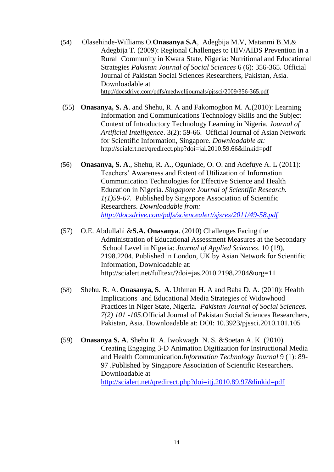- (54) [Olasehinde-Williams](http://scialert.net/asci/author.php?author=O.&last=Olasehinde-Williams) O.**[Onasanya](http://scialert.net/asci/author.php?author=S.A.&last=Onasanya) S.A**[, Adegbija](http://scialert.net/asci/author.php?author=M.V.&last=Adegbija) M.V, [Matanmi](http://scialert.net/asci/author.php?author=B.M.&last=Matanmi) B.M.& [Adegbija](http://scialert.net/asci/author.php?author=T.&last=Adegbija) T. (2009): Regional Challenges to HIV/AIDS Prevention in a Rural Community in Kwara State, Nigeria: Nutritional and Educational Strategies *Pakistan Journal of Social Sciences* 6 (6): 356-365. Official Journal of Pakistan Social Sciences Researchers, Pakistan, Asia. Downloadable at <http://docsdrive.com/pdfs/medwelljournals/pjssci/2009/356-365.pdf>
- (55) **Onasanya, S. A**. and Shehu, R. A and Fakomogbon M. A.(2010): Learning Information and Communications Technology Skills and the Subject Context of Introductory Technology Learning in Nigeria. *Journal of Artificial Intelligence*. 3(2): 59-66. Official Journal of Asian Network for Scientific Information, Singapore. *Downloadable at:* <http://scialert.net/qredirect.php?doi=jai.2010.59.66&linkid=pdf>
- (56) **Onasanya, S. A**., Shehu, R. A., Ogunlade, O. O. and Adefuye A. L (2011): Teachers' Awareness and Extent of Utilization of Information Communication Technologies for Effective Science and Health Education in Nigeria. *Singapore Journal of Scientific Research. 1(1)59-67.* Published by Singapore Association of Scientific Researchers. *Downloadable from: <http://docsdrive.com/pdfs/sciencealert/sjsres/2011/49-58.pdf>*
- (57) [O.E. Abdullahi](http://scialert.net/asci/author.php?author=O.E.&last=Abdullahi) &**[S.A. Onasanya](http://scialert.net/asci/author.php?author=S.A.&last=Onasanya)**. (2010) Challenges Facing the Administration of Educational Assessment Measures at the Secondary School Level in Nigeria: *[Journal of Applied Sciences](http://scialert.net/onlinefirst.php?issn=1812-5654)*. 10 (19), 2198.2204. Published in London, UK by Asian Network for Scientific Information, Downloadable at: http://scialert.net/fulltext/?doi=jas.2010.2198.2204&org=11
- (58) Shehu. R. A. **Onasanya, S. A**. Uthman H. A and Baba D. A. (2010): Health Implications and Educational Media Strategies of Widowhood Practices in Niger State, Nigeria. *Pakistan Journal of Social Sciences. 7(2) 101 -105*.Official Journal of Pakistan Social Sciences Researchers, Pakistan, Asia. Downloadable at: DOI: 10.3923/pjssci.2010.101.105
- (59) **Onasanya S. A**. Shehu R. A. Iwokwagh N. S. &Soetan A. K. (2010) Creating Engaging 3-D Animation Digitization for Instructional Media and Health Communication.*Information Technology Journal* 9 (1): 89- 97 .Published by Singapore Association of Scientific Researchers. Downloadable at <http://scialert.net/qredirect.php?doi=itj.2010.89.97&linkid=pdf>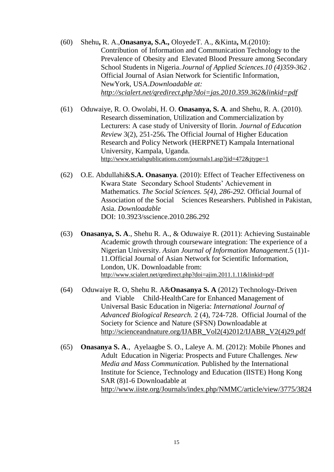(60) [Shehu](http://scialert.net/asci/author.php?author=R.A.&last=Shehu)**,** R. A.,**[Onasanya,](http://scialert.net/asci/author.php?author=S.A.&last=Onasanya) S.A.,** [OloyedeT](http://scialert.net/asci/author.php?author=T.A.&last=Oloyede). A., [&Kinta](http://scialert.net/asci/author.php?author=M.&last=Kinta)**,** M.(2010): Contribution of Information and Communication Technology to the Prevalence of Obesity and Elevated Blood Pressure among Secondary School Students in Nigeria.*Journal of Applied Sciences.10 (4)359-362 .* Official Journal of Asian Network for Scientific Information, NewYork, USA.*Downloadable at: <http://scialert.net/qredirect.php?doi=jas.2010.359.362&linkid=pdf>*

- (61) Oduwaiye, R. O. Owolabi, H. O. **Onasanya, S. A**. and Shehu, R. A. (2010). Research dissemination, Utilization and Commercialization by Lecturers: A case study of University of Ilorin. *Journal of Education Review* 3(2), 251-256**.** The Official Journal of Higher Education Research and Policy Network (HERPNET) Kampala International University, Kampala, Uganda. <http://www.serialspublications.com/journals1.asp?jid=472&jtype=1>
- (62) [O.E. Abdullahi&](http://scialert.net/asci/author.php?author=O.E.&last=Abdullahi)**[S.A. Onasanya](http://scialert.net/asci/author.php?author=S.A.&last=Onasanya)**. (2010): Effect of Teacher Effectiveness on Kwara State Secondary School Students' Achievement in Mathematics. *The Social Sciences. 5(4), 286-292.* Official Journal of Association of the Social Sciences Researshers. Published in Pakistan, Asia. *Downloadable* DOI: 10.3923/sscience.2010.286.292
- (63) **Onasanya, S. A**., Shehu R. A., & Oduwaiye R. (2011): Achieving Sustainable Academic growth through courseware integration: The experience of a Nigerian University. *Asian Journal of Information Management*.5 (1)1- 11.Official Journal of Asian Network for Scientific Information, London, UK. Downloadable from: <http://www.scialert.net/qredirect.php?doi=ajim.2011.1.11&linkid=pdf>
- (64) [Oduwaiye R. O,](http://scialert.net/asci/author.php?author=O.&last=Oduwaiye%20Rhoda) [Shehu R. A&](http://scialert.net/asci/author.php?author=Shehu&last=Raheem%20Adaramaja)**[Onasanya S. A](http://scialert.net/asci/author.php?author=Onasanya&last=Samuel%20Adenubi)** (2012) Technology-Driven and Viable Child-HealthCare for Enhanced Management of Universal Basic Education in Nigeria: *International Journal of Advanced Biological Research.* 2 (4), 724-728. Official Journal of the Society for Science and Nature (SFSN) Downloadable at [http://scienceandnature.org/IJABR\\_Vol2\(4\)2012/IJABR\\_V2\(4\)29.pdf](http://scienceandnature.org/IJABR_Vol2(4)2012/IJABR_V2(4)29.pdf)
- (65) **Onasanya S. A**., Ayelaagbe S. O., Laleye A. M. (2012): Mobile Phones and Adult Education in Nigeria: Prospects and Future Challenges*. New Media and Mass Communication.* Published b*y* the International Institute for Science, Technology and Education (IISTE) Hong Kong SAR (8)1-6 Downloadable at <http://www.iiste.org/Journals/index.php/NMMC/article/view/3775/3824>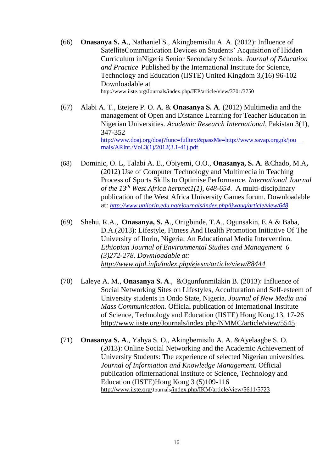- (66) **Onasanya S. A**., Nathaniel S., Akingbemisilu A. A. (2012): [Influence of](http://www.iiste.org/Journals/index.php/JEP/article/view/3701)  [SatelliteCommunication Devices on Students' Acquisition of Hidden](http://www.iiste.org/Journals/index.php/JEP/article/view/3701)  [Curriculum inNigeria Senior Secondary Schools.](http://www.iiste.org/Journals/index.php/JEP/article/view/3701) *Journal of Education and Practice* Published b*y* the International Institute for Science, Technology and Education (IISTE) United Kingdom 3,(16) 96-102 Downloadable at <http://www.iiste.org/Journals/index.php/JEP/article/view/3701/3750>
- (67) Alabi A. T., Etejere P. O. A. & **Onasanya S. A**. (2012) Multimedia and the management of Open and Distance Learning for Teacher Education in Nigerian Universities. *Academic Research International*, Pakistan 3(1), 347-352 [http://www.doaj.org/doaj?func=fulltext&passMe=http://www.savap.org.pk/jou](http://www.doaj.org/doaj?func=fulltext&passMe=http://www.savap.org.pk/jou%09%09%09rnals/ARInt./Vol.3(1)/2012(3.1-41).pdf) [rnals/ARInt./Vol.3\(1\)/2012\(3.1-41\).pdf](http://www.doaj.org/doaj?func=fulltext&passMe=http://www.savap.org.pk/jou%09%09%09rnals/ARInt./Vol.3(1)/2012(3.1-41).pdf)
- (68) Dominic, O. L, Talabi A. E., Obiyemi, O.O., **Onasanya, S. A**. &Chado, M.A**,**  (2012) Use of Computer Technology and Multimedia in Teaching Process of Sports Skills to Optimise Performance. *International Journal of the 13th West Africa herpnet1(1), 648-654*. A multi-disciplinary publication of the West Africa University Games forum. Downloadable at: *<http://www.unilorin.edu.ng/ejournals/index.php/ijwaug/article/view/648>*
- (69) Shehu, R.A., **Onasanya, S. A**., Onigbinde, T.A., Ogunsakin, E.A.& Baba, D.A.(2013): Lifestyle, Fitness And Health Promotion Initiative Of The University of Ilorin, Nigeria: An Educational Media Intervention. *Ethiopian Journal of Environmental Studies and Management 6 (3)272-278. Downloadable at: <http://www.ajol.info/index.php/ejesm/article/view/88444>*
- (70) Laleye A. M., **Onasanya S. A**., &Ogunfunmilakin B. (2013): Influence of Social Networking Sites on Lifestyles, Acculturation and Self-esteem of University students in Ondo State, Nigeria. *Journal of New Media and Mass Communication.* Official publication of International Institute of Science, Technology and Education (IISTE) Hong Kong.13, 17-26 <http://www.iiste.org/Journals/index.php/NMMC/article/view/5545>
- (71) **Onasanya S. A**., Yahya S. O., Akingbemisilu A. A. &Ayelaagbe S. O. (2013): Online Social Networking and the Academic Achievement of University Students: The experience of selected Nigerian universities*. Journal of Information and Knowledge Management.* Official publication ofInternational Institute of Science, Technology and Education (IISTE)Hong Kong 3 (5)109-116 http://www.iiste.org/Journals[/index.php/IKM/article/view/5611/5723](http://www.iiste.org/Journals/index.php/IKM/article/view/5611/5723)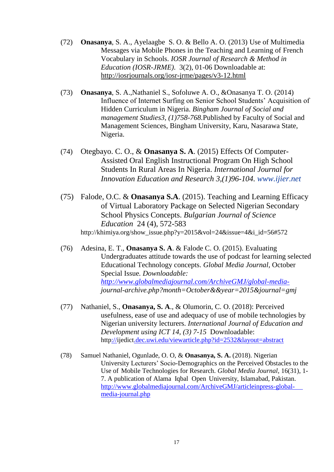- (72) **Onasanya**, S. A., Ayelaagbe S. O. & Bello A. O. (2013) Use of Multimedia Messages via Mobile Phones in the Teaching and Learning of French Vocabulary in Schools. *IOSR Journal of Research & Method in Education (IOSR-JRME)*. 3(2), 01-06 Downloadable at: <http://iosrjournals.org/iosr-jrme/pages/v3-12.html>
- (73) **Onasanya**, S. A.,Nathaniel S., Sofoluwe A. O., &Onasanya T. O. (2014) Influence of Internet Surfing on Senior School Students' Acquisition of Hidden Curriculum in Nigeria. *Bingham Journal of Social and management Studies3, (1)758-768.*Published by Faculty of Social and Management Sciences, Bingham University, Karu, Nasarawa State, Nigeria.
- (74) Otegbayo. C. O., & **Onasanya S. A**. (2015) Effects Of Computer-Assisted Oral English Instructional Program On High School Students In Rural Areas In Nigeria. *International Journal for Innovation Education and Research 3,(1)96-104. www.ijier.net*
- (75) Falode, O.C. & **Onasanya S.A**. (2015). Teaching and Learning Efficacy of Virtual Laboratory Package on Selected Nigerian Secondary School Physics Concepts. *Bulgarian Journal of Science Education* 24 (4), 572-583 http://khimiya.org/show\_issue.php?y=2015&vol=24&issue=4&i\_id=56#572
- (76) Adesina, E. T., **Onasanya S. A**. & Falode C. O. (2015). Evaluating Undergraduates attitude towards the use of podcast for learning selected Educational Technology concepts. *Global Media Journal,* October Special Issue*. Downloadable: [http://www.globalmediajournal.com/ArchiveGMJ/global-media](http://www.globalmediajournal.com/ArchiveGMJ/global-media-)journal-archive.php?month=October&&year=2015&journal=gmj*
- (77) Nathaniel, S., **Onasanya, S. A**., & Olumorin, C. O. (2018): Perceived usefulness, ease of use and adequacy of use of mobile technologies by Nigerian university lecturers. *[International Journal of Education and](http://ijedict.dec.uwi.edu/index.php)  [Development using ICT](http://ijedict.dec.uwi.edu/index.php) [14, \(3\)](file:///C:/Users/PROF%20ONASANYA/Documents/14,%20(3)) 7-15* Downloadable: <http://ijedict.dec.uwi.edu/viewarticle.php?id=2532&layout=abstract>
- (78) Samuel Nathaniel, Ogunlade, O. O, & **Onasanya, S. A.** (2018). Nigerian University Lecturers' Socio-Demographics on the Perceived Obstacles to the Use of Mobile Technologies for Research. *Global Media Journal*, 16(31), 1- 7. A publication of Alama Iqbal Open University, Islamabad, Pakistan. [http://www.globalmediajournal.com/ArchiveGMJ/articleinpress-global](http://www.globalmediajournal.com/ArchiveGMJ/articleinpress-global-%09%09%09%09media-journal.php)[media-journal.php](http://www.globalmediajournal.com/ArchiveGMJ/articleinpress-global-%09%09%09%09media-journal.php)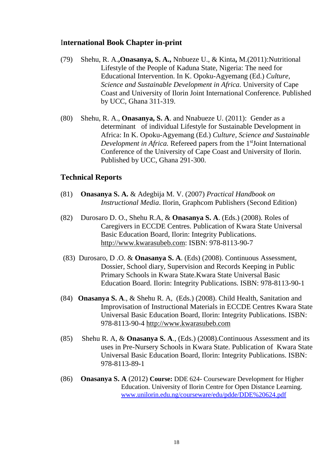## I**nternational Book Chapter in-print**

- (79) [Shehu,](http://scialert.net/asci/author.php?author=R.A.&last=Shehu) R. A.**[,Onasanya,](http://scialert.net/asci/author.php?author=O.S.&last=Adenubi) S. A.,** [Nnbueze](http://scialert.net/asci/author.php?author=U.&last=Nnbueze) U., & [Kinta](http://scialert.net/asci/author.php?author=M.&last=Kinta)**,** M.(2011):Nutritional Lifestyle of the People of Kaduna State, Nigeria: The need for Educational Intervention. In K. Opoku-Agyemang (Ed.) *Culture, Science and Sustainable Development in Africa.* University of Cape Coast and University of Ilorin Joint International Conference. Published by UCC, Ghana 311-319.
- (80) Shehu, R. A., **Onasanya, S. A**. and Nnabueze U. (2011): Gender as a determinant of individual Lifestyle for Sustainable Development in Africa: In K. Opoku-Agyemang (Ed.) *Culture, Science and Sustainable Development in Africa.* Refereed papers from the 1<sup>st</sup>Joint International Conference of the University of Cape Coast and University of Ilorin. Published by UCC, Ghana 291-300.

## **Technical Reports**

- (81) **Onasanya S. A.** & Adegbija M. V. (2007) *Practical Handbook on Instructional Media*. Ilorin, Graphcom Publishers (Second Edition)
- (82) Durosaro D. O., Shehu R.A, & **Onasanya S. A**. (Eds.) (2008). Roles of Caregivers in ECCDE Centres. Publication of Kwara State Universal Basic Education Board, Ilorin: Integrity Publications. [http://www.kwarasubeb.com:](http://www.kwarasubeb.com/) ISBN: 978-8113-90-7
- (83) Durosaro, D .O. & **Onasanya S. A**. (Eds) (2008). Continuous Assessment, Dossier, School diary, Supervision and Records Keeping in Public Primary Schools in Kwara State.Kwara State Universal Basic Education Board. Ilorin: Integrity Publications. ISBN: 978-8113-90-1
- (84) **Onasanya S. A**., & Shehu R. A, (Eds.) (2008). Child Health, Sanitation and Improvisation of Instructional Materials in ECCDE Centres Kwara State Universal Basic Education Board, Ilorin: Integrity Publications. ISBN: 978-8113-90-4 [http://www.kwarasubeb.com](http://www.kwarasubeb.com/)
- (85) Shehu R. A, & **Onasanya S. A**., (Eds.) (2008).Continuous Assessment and its uses in Pre-Nursery Schools in Kwara State. Publication of Kwara State Universal Basic Education Board, Ilorin: Integrity Publications. ISBN: 978-8113-89-1
- (86) **Onasanya S. A** (2012) **Course:** DDE 624- Courseware Development for Higher Education. University of Ilorin Centre for Open Distance Learning. [www.unilorin.edu.ng/courseware/edu/pdde/DDE%20624.pdf](http://www.unilorin.edu.ng/courseware/edu/pdde/DDE%20624.pdf)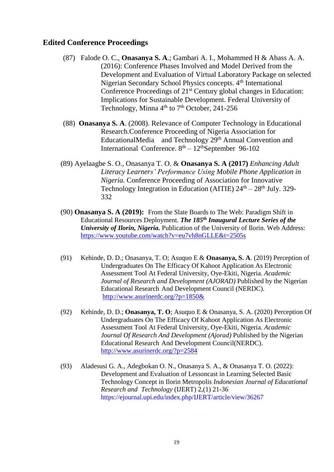## **Edited Conference Proceedings**

- (87) Falode O. C., **Onasanya S. A**.; Gambari A. I., Mohammed H & Abass A. A. (2016): Conference Phases Involved and Model Derived from the Development and Evaluation of Virtual Laboratory Package on selected Nigerian Secondary School Physics concepts. 4<sup>th</sup> International Conference Proceedings of 21<sup>st</sup> Century global changes in Education: Implications for Sustainable Development. Federal University of Technology, Minna  $4<sup>th</sup>$  to  $7<sup>th</sup>$  October, 241-256
- (88) **Onasanya S. A**. (2008). Relevance of Computer Technology in Educational Research.Conference Proceeding of Nigeria Association for EducationalMedia and Technology 29<sup>th</sup> Annual Convention and International Conference.  $8<sup>th</sup> - 12<sup>th</sup>$ September 96-102
- (89) Ayelaagbe S. O., Onasanya T. O. & **Onasanya S. A (2017)** *Enhancing Adult Literacy Learners' Performance Using Mobile Phone Application in Nigeria.* Conference Proceeding of Association for Innovative Technology Integration in Education (AITIE)  $24<sup>th</sup> - 28<sup>th</sup>$  July. 329-332
- (90) **Onasanya S. A (2019):** From the Slate Boards to The Web: Paradigm Shift in Educational Resources Deployment. *The 185th Inaugural Lecture Series of the University of Ilorin, Nigeria.* Publication of the University of Ilorin. Web Address: <https://www.youtube.com/watch?v=eu7vh8nGLLE&t=2505s>
- (91) Kehinde, D. D.; Onasanya, T. O; Asuquo E & **Onasanya, S. A**. (2019) Perception of Undergraduates On The Efficacy Of Kahoot Application As Electronic Assessment Tool At Federal University, Oye-Ekiti, Nigeria. *Academic Journal of Research and Development (AJORAD)* Published by the Nigerian Educational Research And Development Council (NERDC). <http://www.asurinerdc.org/?p=1850&>
- (92) Kehinde, D. D.; **Onasanya, T. O**; Asuquo E & Onasanya, S. A. (2020) Perception Of Undergraduates On The Efficacy Of Kahoot Application As Electronic Assessment Tool At Federal University, Oye-Ekiti, Nigeria. *Academic Journal Of Research And Development (Ajorad)* Published by the Nigerian Educational Research And Development Council(NERDC). <http://www.asurinerdc.org/?p=2584>
- (93) Aladesusi G. A., Adegbokan O. N., Onasanya S. A., & Onasanya T. O. (2022): [Development and Evaluation of Lessoncast in Learning Selected Basic](https://ejournal.upi.edu/index.php/IJERT/article/view/36267)  [Technology Concept in Ilorin Metropolis](https://ejournal.upi.edu/index.php/IJERT/article/view/36267) *Indonesian Journal of Educational Research and Technology* (IJERT) 2,(1) 21-36 <https://ejournal.upi.edu/index.php/IJERT/article/view/36267>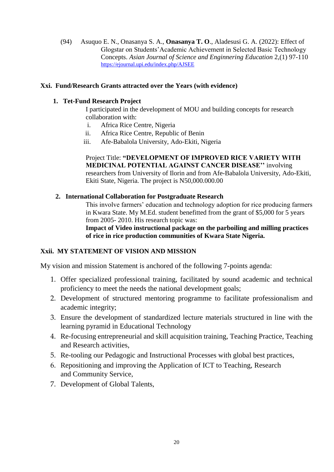(94) Asuquo E. N., Onasanya S. A., **Onasanya T. O**., Aladesusi G. A. (2022): Effect of Glogstar on Students'Academic Achievement in Selected Basic Technology Concepts. *Asian Journal of Science and Enginnering Education* 2,(1) 97-110 <https://ejournal.upi.edu/index.php/AJSEE>

#### **Xxi. Fund/Research Grants attracted over the Years (with evidence)**

#### **1. Tet-Fund Research Project**

I participated in the development of MOU and building concepts for research collaboration with:

- i. Africa Rice Centre, Nigeria
- ii. Africa Rice Centre, Republic of Benin
- iii. Afe-Babalola University, Ado-Ekiti, Nigeria

Project Title: **"DEVELOPMENT OF IMPROVED RICE VARIETY WITH MEDICINAL POTENTIAL AGAINST CANCER DISEASE''** involving researchers from University of Ilorin and from Afe-Babalola University, Ado-Ekiti, Ekiti State, Nigeria. The project is N50,000.000.00

#### **2. International Collaboration for Postgraduate Research**

This involve farmers' education and technology adoption for rice producing farmers in Kwara State. My M.Ed. student benefitted from the grant of \$5,000 for 5 years from 2005- 2010. His research topic was:

**Impact of Video instructional package on the parboiling and milling practices of rice in rice production communities of Kwara State Nigeria.**

### **Xxii. MY STATEMENT OF VISION AND MISSION**

My vision and mission Statement is anchored of the following 7-points agenda:

- 1. Offer specialized professional training, facilitated by sound academic and technical proficiency to meet the needs the national development goals;
- 2. Development of structured mentoring programme to facilitate professionalism and academic integrity;
- 3. Ensure the development of standardized lecture materials structured in line with the learning pyramid in Educational Technology
- 4. Re-focusing entrepreneurial and skill acquisition training, Teaching Practice, Teaching and Research activities,
- 5. Re-tooling our Pedagogic and Instructional Processes with global best practices,
- 6. Repositioning and improving the Application of ICT to Teaching, Research and Community Service,
- 7. Development of Global Talents,